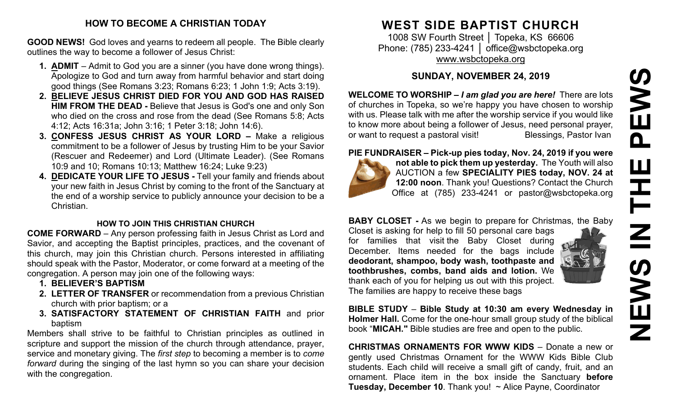#### **HOW TO BECOME A CHRISTIAN TODAY**

**GOOD NEWS!** God loves and yearns to redeem all people. The Bible clearly outlines the way to become a follower of Jesus Christ:

- **1. ADMIT** Admit to God you are a sinner (you have done wrong things). Apologize to God and turn away from harmful behavior and start doing good things (See Romans 3:23; Romans 6:23; 1 John 1:9; Acts 3:19).
- **2. BELIEVE JESUS CHRIST DIED FOR YOU AND GOD HAS RAISED HIM FROM THE DEAD -** Believe that Jesus is God's one and only Son who died on the cross and rose from the dead (See Romans 5:8; Acts 4:12; Acts 16:31a; John 3:16; 1 Peter 3:18; John 14:6).
- **3. CONFESS JESUS CHRIST AS YOUR LORD –** Make a religious commitment to be a follower of Jesus by trusting Him to be your Savior (Rescuer and Redeemer) and Lord (Ultimate Leader). (See Romans 10:9 and 10; Romans 10:13; Matthew 16:24; Luke 9:23)
- **4. DEDICATE YOUR LIFE TO JESUS -** Tell your family and friends about your new faith in Jesus Christ by coming to the front of the Sanctuary at the end of a worship service to publicly announce your decision to be a Christian.

#### **HOW TO JOIN THIS CHRISTIAN CHURCH**

**COME FORWARD** – Any person professing faith in Jesus Christ as Lord and Savior, and accepting the Baptist principles, practices, and the covenant of this church, may join this Christian church. Persons interested in affiliating should speak with the Pastor, Moderator, or come forward at a meeting of the congregation. A person may join one of the following ways:

- **1. BELIEVER'S BAPTISM**
- **2. LETTER OF TRANSFER** or recommendation from a previous Christian church with prior baptism; or a
- **3. SATISFACTORY STATEMENT OF CHRISTIAN FAITH** and prior baptism

Members shall strive to be faithful to Christian principles as outlined in scripture and support the mission of the church through attendance, prayer, service and monetary giving. The *first step* to becoming a member is to *come forward* during the singing of the last hymn so you can share your decision with the congregation.

# **WEST SIDE BAPTIST CHURCH**

1008 SW Fourth Street │ Topeka, KS 66606 Phone: (785) 233-4241 │ [office@wsbctopeka.org](mailto:office@wsbctopeka.org) [www.wsbctopeka.org](http://www.wsbctopeka.org/)

# **SUNDAY, NOVEMBER 24, 2019**

**WELCOME TO WORSHIP –** *I am glad you are here!* There are lots of churches in Topeka, so we're happy you have chosen to worship with us. Please talk with me after the worship service if you would like to know more about being a follower of Jesus, need personal prayer, or want to request a pastoral visit!<br>
Blessings, Pastor Ivan

#### **PIE FUNDRAISER – Pick-up pies today, Nov. 24, 2019 if you were**



**not able to pick them up yesterday.** The Youth will also AUCTION a few **SPECIALITY PIES today, NOV. 24 at 12:00 noon**. Thank you! Questions? Contact the Church Office at (785) 233-4241 or pastor@wsbctopeka.org

**BABY CLOSET -** As we begin to prepare for Christmas, the Baby

Closet is asking for help to fill 50 personal care bags for families that visit the Baby Closet during December. Items needed for the bags include **deodorant, shampoo, body wash, toothpaste and toothbrushes, combs, band aids and lotion.** We thank each of you for helping us out with this project. The families are happy to receive these bags



**BIBLE STUDY** – **Bible Study at 10:30 am every Wednesday in Holmer Hall.** Come for the one-hour small group study of the biblical book "**MICAH."** Bible studies are free and open to the public.

**CHRISTMAS ORNAMENTS FOR WWW KIDS** – Donate a new or gently used Christmas Ornament for the WWW Kids Bible Club students. Each child will receive a small gift of candy, fruit, and an ornament. Place item in the box inside the Sanctuary **before Tuesday, December 10**. Thank you! ~ Alice Payne, Coordinator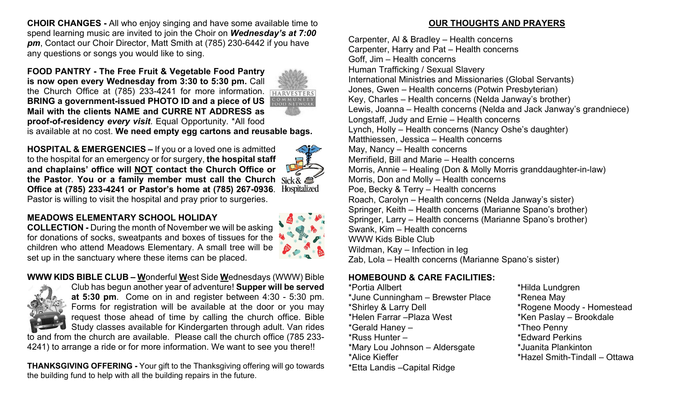**CHOIR CHANGES -** All who enjoy singing and have some available time to spend learning music are invited to join the Choir on *Wednesday's at 7:00 pm*, Contact our Choir Director, Matt Smith at (785) 230-6442 if you have any questions or songs you would like to sing.

**FOOD PANTRY - The Free Fruit & Vegetable Food Pantry is now open every Wednesday from 3:30 to 5:30 pm.** Call the Church Office at (785) 233-4241 for more information. **HARVESTERS BRING a government-issued PHOTO ID and a piece of US Mail with the clients NAME and CURRE NT ADDRESS as proof-of-residency** *every visit*. Equal Opportunity. \*All food is available at no cost. **We need empty egg cartons and reusable bags.** 

**HOSPITAL & EMERGENCIES –** If you or a loved one is admitted to the hospital for an emergency or for surgery, **the hospital staff and chaplains' office will NOT contact the Church Office or the Pastor**. **You or a family member must call the Church**  Hospitalized **Office at (785) 233-4241 or Pastor's home at (785) 267-0936**. Pastor is willing to visit the hospital and pray prior to surgeries.

### **MEADOWS ELEMENTARY SCHOOL HOLIDAY**

**COLLECTION -** During the month of November we will be asking for donations of socks, sweatpants and boxes of tissues for the children who attend Meadows Elementary. A small tree will be set up in the sanctuary where these items can be placed.

# **WWW KIDS BIBLE CLUB – W**onderful **W**est Side **W**ednesdays (WWW) Bible



Club has begun another year of adventure! **Supper will be served at 5:30 pm**. Come on in and register between 4:30 - 5:30 pm. Forms for registration will be available at the door or you may request those ahead of time by calling the church office. Bible Study classes available for Kindergarten through adult. Van rides

to and from the church are available. Please call the church office (785 233- 4241) to arrange a ride or for more information. We want to see you there!!

**THANKSGIVING OFFERING -** Your gift to the Thanksgiving offering will go towards the building fund to help with all the building repairs in the future.

#### **OUR THOUGHTS AND PRAYERS**

Carpenter, Al & Bradley – Health concerns Carpenter, Harry and Pat – Health concerns Goff, Jim – Health concerns Human Trafficking / Sexual Slavery International Ministries and Missionaries (Global Servants) Jones, Gwen – Health concerns (Potwin Presbyterian) Key, Charles – Health concerns (Nelda Janway's brother) Lewis, Joanna – Health concerns (Nelda and Jack Janway's grandniece) Longstaff, Judy and Ernie – Health concerns Lynch, Holly – Health concerns (Nancy Oshe's daughter) Matthiessen, Jessica – Health concerns May, Nancy – Health concerns Merrifield, Bill and Marie – Health concerns Morris, Annie – Healing (Don & Molly Morris granddaughter-in-law) Morris, Don and Molly – Health concerns Poe, Becky & Terry – Health concerns Roach, Carolyn – Health concerns (Nelda Janway's sister) Springer, Keith – Health concerns (Marianne Spano's brother) Springer, Larry – Health concerns (Marianne Spano's brother) Swank, Kim – Health concerns WWW Kids Bible Club Wildman, Kay – Infection in leg Zab, Lola – Health concerns (Marianne Spano's sister)

#### **HOMEBOUND & CARE FACILITIES:**

\*Portia Allbert \*Hilda Lundgren \*June Cunningham – Brewster Place \* \* Renea May \*Shirley & Larry Dell \*Rogene Moody - Homestead \*Helen Farrar –Plaza West \*Ken Paslay – Brookdale \*Gerald Haney – \*Theo Penny \*Russ Hunter – \*Edward Perkins \*Mary Lou Johnson – Aldersgate \*Juanita Plankinton \*Alice Kieffer \*Hazel Smith-Tindall – Ottawa \*Etta Landis –Capital Ridge

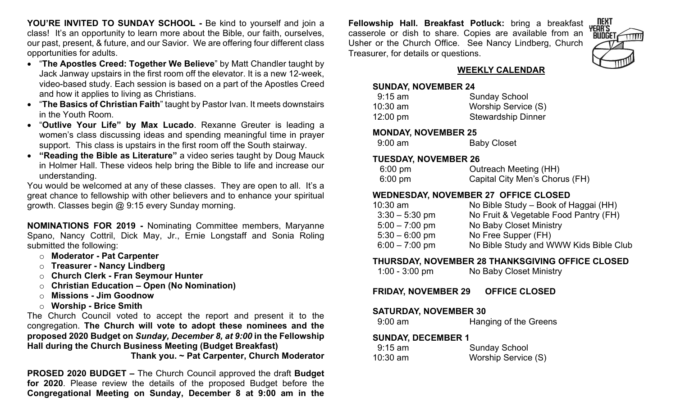**YOU'RE INVITED TO SUNDAY SCHOOL -** Be kind to yourself and join a class! It's an opportunity to learn more about the Bible, our faith, ourselves, our past, present, & future, and our Savior. We are offering four different class opportunities for adults.

- "**The Apostles Creed: Together We Believe**" by Matt Chandler taught by Jack Janway upstairs in the first room off the elevator. It is a new 12-week, video-based study. Each session is based on a part of the Apostles Creed and how it applies to living as Christians.
- "**The Basics of Christian Faith**" taught by Pastor Ivan. It meets downstairs in the Youth Room.
- "**Outlive Your Life" by Max Lucado**. Rexanne Greuter is leading a women's class discussing ideas and spending meaningful time in prayer support. This class is upstairs in the first room off the South stairway.
- **"Reading the Bible as Literature"** a video series taught by Doug Mauck in Holmer Hall. These videos help bring the Bible to life and increase our understanding.

You would be welcomed at any of these classes. They are open to all. It's a great chance to fellowship with other believers and to enhance your spiritual growth. Classes begin @ 9:15 every Sunday morning.

**NOMINATIONS FOR 2019 -** Nominating Committee members, Maryanne Spano, Nancy Cottril, Dick May, Jr., Ernie Longstaff and Sonia Roling submitted the following:

- o **Moderator - Pat Carpenter**
- o **Treasurer - Nancy Lindberg**
- o **Church Clerk - Fran Seymour Hunter**
- o **Christian Education – Open (No Nomination)**
- o **Missions - Jim Goodnow**
- o **Worship - Brice Smith**

The Church Council voted to accept the report and present it to the congregation. **The Church will vote to adopt these nominees and the proposed 2020 Budget on** *Sunday, December 8, at 9:00* **in the Fellowship Hall during the Church Business Meeting (Budget Breakfast)** 

**Thank you. ~ Pat Carpenter, Church Moderator**

**PROSED 2020 BUDGET –** The Church Council approved the draft **Budget for 2020**. Please review the details of the proposed Budget before the **Congregational Meeting on Sunday, December 8 at 9:00 am in the** 

**Fellowship Hall. Breakfast Potluck:** bring a breakfast casserole or dish to share. Copies are available from an Usher or the Church Office. See Nancy Lindberg, Church Treasurer, for details or questions.



## **WEEKLY CALENDAR**

#### **SUNDAY, NOVEMBER 24**

| $9:15$ am          | <b>Sunday School</b>      |
|--------------------|---------------------------|
| $10:30$ am         | Worship Service (S)       |
| $12:00 \text{ pm}$ | <b>Stewardship Dinner</b> |

#### **MONDAY, NOVEMBER 25**

| $9:00$ am | <b>Baby Closet</b> |
|-----------|--------------------|
|-----------|--------------------|

#### **TUESDAY, NOVEMBER 26**

| $6:00 \text{ pm}$ | Outreach Meeting (HH)          |
|-------------------|--------------------------------|
| $6:00 \text{ pm}$ | Capital City Men's Chorus (FH) |

#### **WEDNESDAY, NOVEMBER 27 OFFICE CLOSED**

| $10:30$ am       | No Bible Study – Book of Haggai (HH)   |
|------------------|----------------------------------------|
| $3:30 - 5:30$ pm | No Fruit & Vegetable Food Pantry (FH)  |
| $5:00 - 7:00$ pm | No Baby Closet Ministry                |
| $5:30 - 6:00$ pm | No Free Supper (FH)                    |
| $6:00 - 7:00$ pm | No Bible Study and WWW Kids Bible Club |
|                  |                                        |

#### **THURSDAY, NOVEMBER 28 THANKSGIVING OFFICE CLOSED**

1:00 - 3:00 pm No Baby Closet Ministry

**FRIDAY, NOVEMBER 29 OFFICE CLOSED**

#### **SATURDAY, NOVEMBER 30**

9:00 am **Hanging of the Greens** 

#### **SUNDAY, DECEMBER 1**

| $9:15$ am | <b>Sunday School</b> |  |  |
|-----------|----------------------|--|--|
| 10:30 am  | Worship Service (S)  |  |  |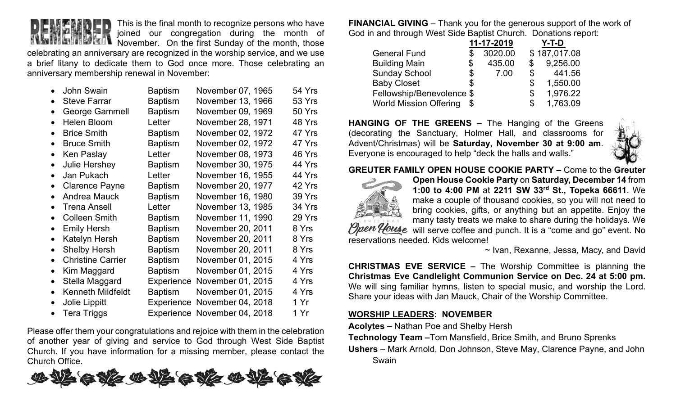

This is the final month to recognize persons who have joined our congregation during the month of

November. On the first Sunday of the month, those celebrating an anniversary are recognized in the worship service, and we use a brief litany to dedicate them to God once more. Those celebrating an anniversary membership renewal in November:

|           | <b>John Swain</b>        | Baptism        | November 07, 1965            | 54 Yrs |
|-----------|--------------------------|----------------|------------------------------|--------|
| $\bullet$ | <b>Steve Farrar</b>      | <b>Baptism</b> | November 13, 1966            | 53 Yrs |
| $\bullet$ | <b>George Gammell</b>    | <b>Baptism</b> | November 09, 1969            | 50 Yrs |
|           | <b>Helen Bloom</b>       | Letter         | November 28, 1971            | 48 Yrs |
| $\bullet$ | <b>Brice Smith</b>       | <b>Baptism</b> | November 02, 1972            | 47 Yrs |
| $\bullet$ | <b>Bruce Smith</b>       | <b>Baptism</b> | November 02, 1972            | 47 Yrs |
| $\bullet$ | Ken Paslay               | Letter         | November 08, 1973            | 46 Yrs |
| $\bullet$ | <b>Julie Hershey</b>     | <b>Baptism</b> | November 30, 1975            | 44 Yrs |
|           | Jan Pukach               | Letter         | November 16, 1955            | 44 Yrs |
| $\bullet$ | <b>Clarence Payne</b>    | Baptism        | November 20, 1977            | 42 Yrs |
| $\bullet$ | <b>Andrea Mauck</b>      | <b>Baptism</b> | November 16, 1980            | 39 Yrs |
| $\bullet$ | <b>Trena Ansell</b>      | Letter         | November 13, 1985            | 34 Yrs |
| $\bullet$ | <b>Colleen Smith</b>     | <b>Baptism</b> | November 11, 1990            | 29 Yrs |
| $\bullet$ | <b>Emily Hersh</b>       | <b>Baptism</b> | November 20, 2011            | 8 Yrs  |
| $\bullet$ | Katelyn Hersh            | <b>Baptism</b> | November 20, 2011            | 8 Yrs  |
| $\bullet$ | <b>Shelby Hersh</b>      | <b>Baptism</b> | November 20, 2011            | 8 Yrs  |
| $\bullet$ | <b>Christine Carrier</b> | <b>Baptism</b> | November 01, 2015            | 4 Yrs  |
| $\bullet$ | Kim Maggard              | <b>Baptism</b> | November 01, 2015            | 4 Yrs  |
| $\bullet$ | Stella Maggard           | Experience     | November 01, 2015            | 4 Yrs  |
| $\bullet$ | <b>Kenneth Mildfeldt</b> | <b>Baptism</b> | November 01, 2015            | 4 Yrs  |
| $\bullet$ | Jolie Lippitt            |                | Experience November 04, 2018 | 1 Yr   |
|           | <b>Tera Triggs</b>       |                | Experience November 04, 2018 | 1 Yr   |

Please offer them your congratulations and rejoice with them in the celebration of another year of giving and service to God through West Side Baptist Church. If you have information for a missing member, please contact the Church Office.



**FINANCIAL GIVING** – Thank you for the generous support of the work of God in and through West Side Baptist Church. Donations report:

|                               | 11-17-2019   |                | Y-T-D        |
|-------------------------------|--------------|----------------|--------------|
| <b>General Fund</b>           | 3020.00      |                | \$187,017.08 |
| <b>Building Main</b>          | \$<br>435.00 | $\mathbb{S}^-$ | 9,256.00     |
| <b>Sunday School</b>          | \$<br>7.00   | \$             | 441.56       |
| <b>Baby Closet</b>            | \$           | \$             | 1,550.00     |
| Fellowship/Benevolence \$     |              | \$             | 1,976.22     |
| <b>World Mission Offering</b> |              | S              | 1,763.09     |

**HANGING OF THE GREENS –** The Hanging of the Greens (decorating the Sanctuary, Holmer Hall, and classrooms for Advent/Christmas) will be **Saturday, November 30 at 9:00 am**. Everyone is encouraged to help "deck the halls and walls."



**GREUTER FAMILY OPEN HOUSE COOKIE PARTY –** Come to the **Greuter** 



**Open House Cookie Party** on **Saturday, December 14** from **1:00 to 4:00 PM** at **2211 SW 33rd St., Topeka 66611**. We make a couple of thousand cookies, so you will not need to bring cookies, gifts, or anything but an appetite. Enjoy the many tasty treats we make to share during the holidays. We *Open House* will serve coffee and punch. It is a "come and go" event. No reservations needed. Kids welcome!

~ Ivan, Rexanne, Jessa, Macy, and David

**CHRISTMAS EVE SERVICE –** The Worship Committee is planning the **Christmas Eve Candlelight Communion Service on Dec. 24 at 5:00 pm.**  We will sing familiar hymns, listen to special music, and worship the Lord. Share your ideas with Jan Mauck, Chair of the Worship Committee.

#### **WORSHIP LEADERS: NOVEMBER**

**Acolytes –** Nathan Poe and Shelby Hersh

**Technology Team –**Tom Mansfield, Brice Smith, and Bruno Sprenks **Ushers** – Mark Arnold, Don Johnson, Steve May, Clarence Payne, and John Swain